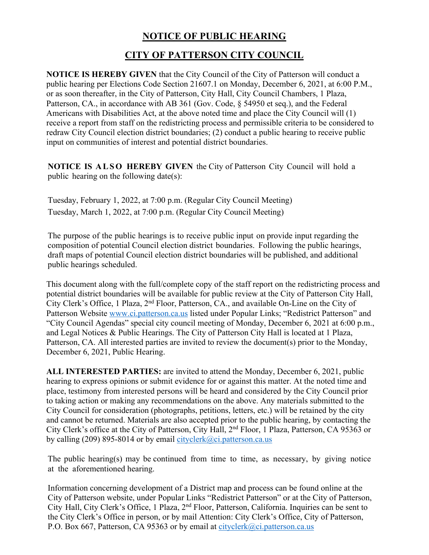## **NOTICE OF PUBLIC HEARING**

## **CITY OF PATTERSON CITY COUNCIL**

**NOTICE IS HEREBY GIVEN** that the City Council of the City of Patterson will conduct a public hearing per Elections Code Section 21607.1 on Monday, December 6, 2021, at 6:00 P.M., or as soon thereafter, in the City of Patterson, City Hall, City Council Chambers, 1 Plaza, Patterson, CA., in accordance with AB 361 (Gov. Code, § 54950 et seq.), and the Federal Americans with Disabilities Act, at the above noted time and place the City Council will (1) receive a report from staff on the redistricting process and permissible criteria to be considered to redraw City Council election district boundaries; (2) conduct a public hearing to receive public input on communities of interest and potential district boundaries.

**NOTICE IS ALSO HEREBY GIVEN** the City of Patterson City Council will hold a public hearing on the following date(s):

Tuesday, February 1, 2022, at 7:00 p.m. (Regular City Council Meeting) Tuesday, March 1, 2022, at 7:00 p.m. (Regular City Council Meeting)

The purpose of the public hearings is to receive public input on provide input regarding the composition of potential Council election district boundaries. Following the public hearings, draft maps of potential Council election district boundaries will be published, and additional public hearings scheduled.

This document along with the full/complete copy of the staff report on the redistricting process and potential district boundaries will be available for public review at the City of Patterson City Hall, City Clerk's Office, 1 Plaza, 2nd Floor, Patterson, CA., and available On-Line on the City of Patterson Website www.ci.patterson.ca.us listed under Popular Links; "Redistrict Patterson" and "City Council Agendas" special city council meeting of Monday, December 6, 2021 at 6:00 p.m., and Legal Notices & Public Hearings. The City of Patterson City Hall is located at 1 Plaza, Patterson, CA. All interested parties are invited to review the document(s) prior to the Monday, December 6, 2021, Public Hearing.

**ALL INTERESTED PARTIES:** are invited to attend the Monday, December 6, 2021, public hearing to express opinions or submit evidence for or against this matter. At the noted time and place, testimony from interested persons will be heard and considered by the City Council prior to taking action or making any recommendations on the above. Any materials submitted to the City Council for consideration (photographs, petitions, letters, etc.) will be retained by the city and cannot be returned. Materials are also accepted prior to the public hearing, by contacting the City Clerk's office at the City of Patterson, City Hall, 2nd Floor, 1 Plaza, Patterson, CA 95363 or by calling (209) 895-8014 or by email  $\frac{city \text{clerk}(\partial \text{ci}, \text{patternson.} \text{ca.} \text{us})}{i}$ 

The public hearing(s) may be continued from time to time, as necessary, by giving notice at the aforementioned hearing.

Information concerning development of a District map and process can be found online at the City of Patterson website, under Popular Links "Redistrict Patterson" or at the City of Patterson, City Hall, City Clerk's Office, 1 Plaza, 2nd Floor, Patterson, California. Inquiries can be sent to the City Clerk's Office in person, or by mail Attention: City Clerk's Office, City of Patterson, P.O. Box 667, Patterson, CA 95363 or by email at cityclerk@ci.patterson.ca.us